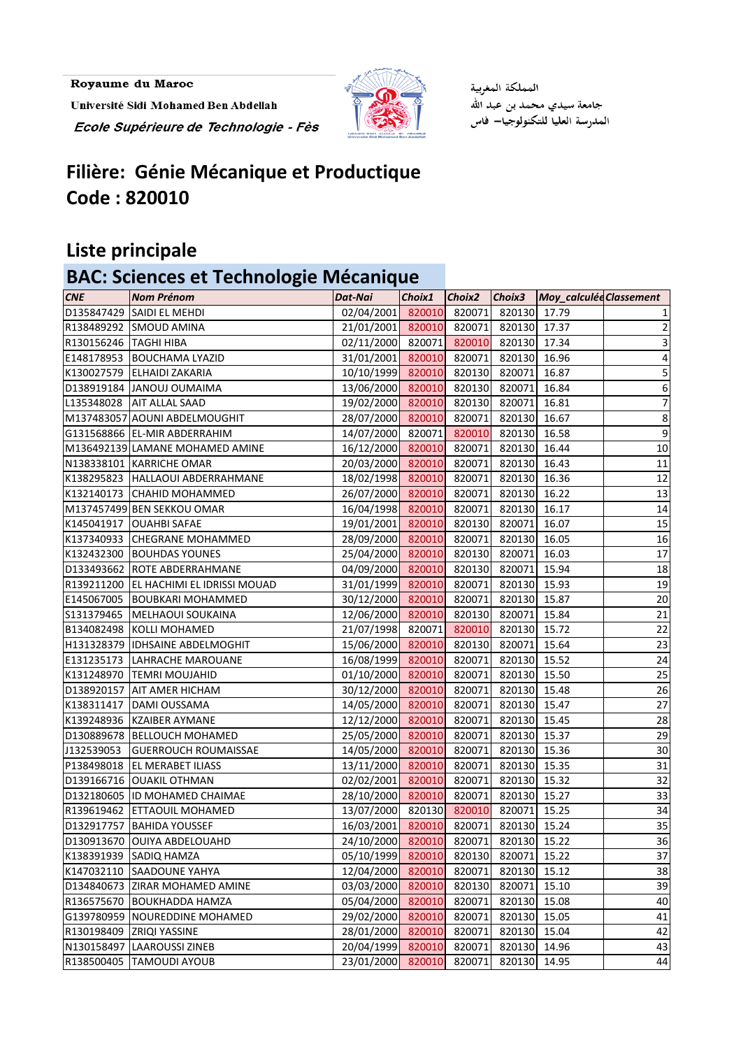Royaume du Maroc Université Sidi Mohamed Ben Abdellah Ecole Supérieure de Technologie - Fès



المملكة المغربية جامعة سيدي محمد بن عبد الله المدرسة العليا للتكنولوجيا— فاس

## **Filière: Génie Mécanique et Productique Code : 820010**

#### **Liste principale**

### **BAC: Sciences et Technologie Mécanique**

| <b>CNE</b>              | <b>Nom Prénom</b>                      | Dat-Nai                  | $Choix1$ $Choix2$ |        |              | Choix3 Moy_calculée Classement |                         |
|-------------------------|----------------------------------------|--------------------------|-------------------|--------|--------------|--------------------------------|-------------------------|
|                         | D135847429 SAIDI EL MEHDI              | 02/04/2001 820010        |                   | 820071 | 820130 17.79 |                                |                         |
|                         | R138489292 SMOUD AMINA                 | 21/01/2001 820010        |                   | 820071 | 820130       | 17.37                          | $\overline{\mathbf{c}}$ |
| R130156246   TAGHI HIBA |                                        | 02/11/2000 820071        |                   | 820010 | 820130       | 17.34                          | 3                       |
|                         | E148178953 BOUCHAMA LYAZID             | 31/01/2001 820010        |                   | 820071 | 820130       | 16.96                          | 4                       |
|                         | K130027579 ELHAIDI ZAKARIA             | 10/10/1999 820010 820130 |                   |        | 820071       | 16.87                          | 5                       |
|                         | D138919184 JANOUJ OUMAIMA              | 13/06/2000 820010        |                   | 820130 | 820071       | 16.84                          | 6                       |
|                         | L135348028 AIT ALLAL SAAD              | 19/02/2000 820010        |                   | 820130 | 820071       | 16.81                          | $\overline{7}$          |
|                         | M137483057 AOUNI ABDELMOUGHIT          | 28/07/2000 820010 820071 |                   |        | 820130       | 16.67                          | 8                       |
|                         | G131568866 EL-MIR ABDERRAHIM           | 14/07/2000 820071        |                   | 820010 | 820130       | 16.58                          | $\boldsymbol{9}$        |
|                         | M136492139 LAMANE MOHAMED AMINE        | 16/12/2000 820010        |                   | 820071 | 820130       | 16.44                          | $10\,$                  |
|                         | N138338101 KARRICHE OMAR               | 20/03/2000 820010        |                   | 820071 | 820130       | 16.43                          | $11\,$                  |
|                         | K138295823   HALLAOUI ABDERRAHMANE     | 18/02/1998 820010        |                   | 820071 | 820130       | 16.36                          | 12                      |
|                         | K132140173 CHAHID MOHAMMED             | 26/07/2000 820010 820071 |                   |        | 820130       | 16.22                          | 13                      |
|                         | M137457499 BEN SEKKOU OMAR             | 16/04/1998 820010        |                   | 820071 | 820130       | 16.17                          | 14                      |
|                         | K145041917 OUAHBI SAFAE                | 19/01/2001 820010 820130 |                   |        | 820071       | 16.07                          | 15                      |
|                         | K137340933 CHEGRANE MOHAMMED           | 28/09/2000 820010        |                   | 820071 | 820130       | 16.05                          | 16                      |
|                         | K132432300 BOUHDAS YOUNES              | 25/04/2000 820010        |                   | 820130 | 820071       | 16.03                          | 17                      |
|                         | D133493662 ROTE ABDERRAHMANE           | 04/09/2000 820010 820130 |                   |        | 820071       | 15.94                          | 18                      |
|                         | R139211200 EL HACHIMI EL IDRISSI MOUAD | 31/01/1999 820010        |                   | 820071 | 820130       | 15.93                          | 19                      |
|                         | E145067005   BOUBKARI MOHAMMED         | 30/12/2000 820010 820071 |                   |        | 820130       | 15.87                          | 20                      |
|                         | S131379465   MELHAOUI SOUKAINA         | 12/06/2000 820010        |                   | 820130 | 820071       | 15.84                          | $21\,$                  |
|                         | B134082498 KOLLI MOHAMED               | 21/07/1998               | 820071            | 820010 | 820130       | 15.72                          | $\overline{22}$         |
|                         | H131328379  IDHSAINE ABDELMOGHIT       | 15/06/2000 820010        |                   | 820130 | 820071       | 15.64                          | 23                      |
|                         | E131235173   LAHRACHE MAROUANE         | 16/08/1999 820010        |                   | 820071 | 820130       | 15.52                          | 24                      |
|                         | K131248970  TEMRI MOUJAHID             | 01/10/2000 820010        |                   | 820071 | 820130       | 15.50                          | 25                      |
|                         | D138920157 AIT AMER HICHAM             | 30/12/2000 820010        |                   | 820071 | 820130       | 15.48                          | 26                      |
|                         | K138311417   DAMI OUSSAMA              | 14/05/2000 820010        |                   | 820071 | 820130       | 15.47                          | $\overline{27}$         |
|                         | K139248936 KZAIBER AYMANE              | 12/12/2000 820010        |                   | 820071 | 820130       | 15.45                          | 28                      |
|                         | D130889678   BELLOUCH MOHAMED          | 25/05/2000 820010        |                   | 820071 | 820130       | 15.37                          | 29                      |
| J132539053              | <b>GUERROUCH ROUMAISSAE</b>            | 14/05/2000 820010 820071 |                   |        | 820130 15.36 |                                | 30 <sub>1</sub>         |
|                         | P138498018 EL MERABET ILIASS           | 13/11/2000 820010        |                   | 820071 | 820130 15.35 |                                | 31                      |
|                         | D139166716 OUAKIL OTHMAN               | 02/02/2001               | 820010            | 820071 | 820130       | 15.32                          | 32                      |
|                         | D132180605  ID MOHAMED CHAIMAE         | 28/10/2000 820010        |                   | 820071 | 820130       | 15.27                          | 33                      |
|                         | R139619462 ETTAOUIL MOHAMED            | 13/07/2000               | 820130            | 820010 | 820071       | 15.25                          | 34                      |
|                         | D132917757   BAHIDA YOUSSEF            | 16/03/2001               | 820010            | 820071 | 820130       | 15.24                          | 35                      |
|                         | D130913670 OUIYA ABDELOUAHD            | 24/10/2000               | 820010            | 820071 | 820130       | 15.22                          | 36                      |
|                         | K138391939 SADIQ HAMZA                 | 05/10/1999               | 820010            | 820130 | 820071       | 15.22                          | 37                      |
|                         | K147032110 SAADOUNE YAHYA              | 12/04/2000 820010        |                   | 820071 | 820130       | 15.12                          | 38                      |
|                         | D134840673 ZIRAR MOHAMED AMINE         | 03/03/2000               | 820010            | 820130 | 820071       | 15.10                          | 39                      |
|                         | R136575670 BOUKHADDA HAMZA             | 05/04/2000               | 820010            | 820071 | 820130       | 15.08                          | 40                      |
|                         | G139780959 NOUREDDINE MOHAMED          | 29/02/2000               | 820010            | 820071 | 820130       | 15.05                          | 41                      |
|                         | R130198409 ZRIQI YASSINE               | 28/01/2000               | 820010            | 820071 | 820130       | 15.04                          | 42                      |
|                         | N130158497 LAAROUSSI ZINEB             | 20/04/1999               | 820010            | 820071 | 820130       | 14.96                          | 43                      |
|                         | R138500405   TAMOUDI AYOUB             | 23/01/2000               | 820010            | 820071 | 820130       | 14.95                          | 44                      |